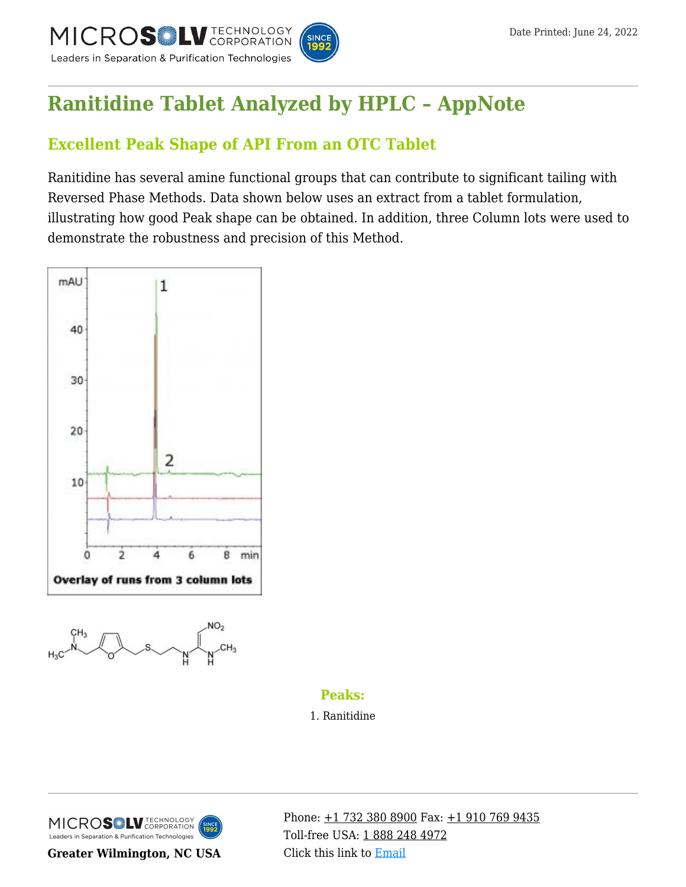

# **[Ranitidine Tablet Analyzed by HPLC – AppNote](https://kb.mtc-usa.com/article/aa-01048/46/)**

## **Excellent Peak Shape of API From an OTC Tablet**

Ranitidine has several amine functional groups that can contribute to significant tailing with Reversed Phase Methods. Data shown below uses an extract from a tablet formulation, illustrating how good Peak shape can be obtained. In addition, three Column lots were used to demonstrate the robustness and precision of this Method.





## **Peaks:**

1. Ranitidine



**Greater Wilmington, NC USA**

Phone:  $\pm$ 1 732 380 8900 Fax:  $\pm$ 1 910 769 9435 Toll-free USA: [1 888 248 4972](#page--1-0) Click this link to [Email](https://www.mtc-usa.com/contact)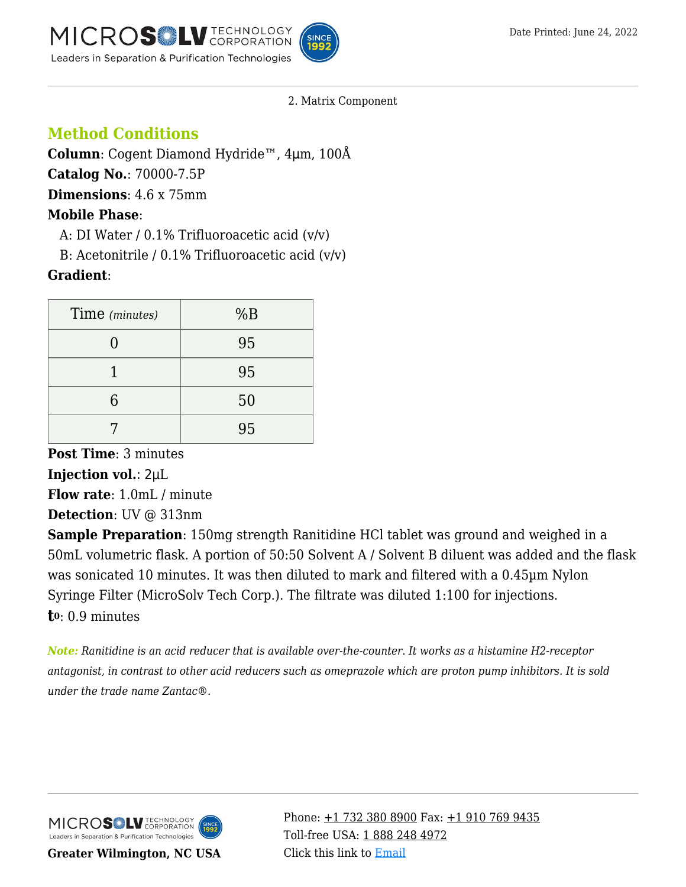

2. Matrix Component

## **Method Conditions**

**Column**: Cogent Diamond Hydride™, 4μm, 100Å **Catalog No.**: 70000-7.5P **Dimensions**: 4.6 x 75mm **Mobile Phase**: A: DI Water /  $0.1\%$  Trifluoroacetic acid  $(v/v)$ 

B: Acetonitrile /  $0.1\%$  Trifluoroacetic acid (v/v)

## **Gradient**:

| Time (minutes) | %B |
|----------------|----|
|                | 95 |
|                | 95 |
| 6              | 50 |
|                | 95 |

**Post Time**: 3 minutes **Injection vol.**: 2μL **Flow rate**: 1.0mL / minute

**Detection**: UV @ 313nm

**Sample Preparation**: 150mg strength Ranitidine HCl tablet was ground and weighed in a 50mL volumetric flask. A portion of 50:50 Solvent A / Solvent B diluent was added and the flask was sonicated 10 minutes. It was then diluted to mark and filtered with a 0.45µm Nylon Syringe Filter (MicroSolv Tech Corp.). The filtrate was diluted 1:100 for injections. **t0**: 0.9 minutes

*Note: Ranitidine is an acid reducer that is available over-the-counter. It works as a histamine H2-receptor antagonist, in contrast to other acid reducers such as omeprazole which are proton pump inhibitors. It is sold under the trade name Zantac®.*



**Greater Wilmington, NC USA**

Phone:  $\pm$ 1 732 380 8900 Fax:  $\pm$ 1 910 769 9435 Toll-free USA: [1 888 248 4972](#page--1-0) Click this link to [Email](https://www.mtc-usa.com/contact)